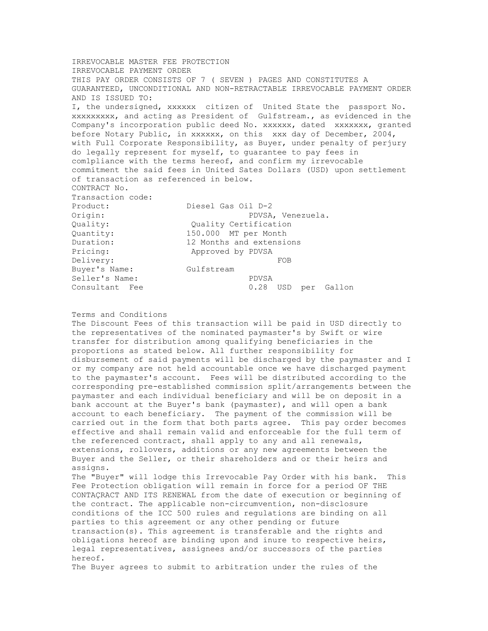IRREVOCABLE MASTER FEE PROTECTION IRREVOCABLE PAYMENT ORDER THIS PAY ORDER CONSISTS OF 7 ( SEVEN ) PAGES AND CONSTITUTES A GUARANTEED, UNCONDITIONAL AND NON-RETRACTABLE IRREVOCABLE PAYMENT ORDER AND IS ISSUED TO: I, the undersigned, xxxxxx citizen of United State the passport No. xxxxxxxxx, and acting as President of Gulfstream., as evidenced in the Company's incorporation public deed No. xxxxxx, dated xxxxxxx, granted before Notary Public, in xxxxxx, on this xxx day of December, 2004, with Full Corporate Responsibility, as Buyer, under penalty of perjury do legally represent for myself, to guarantee to pay fees in com1pliance with the terms hereof, and confirm my irrevocable commitment the said fees in United Sates Dollars (USD) upon settlement of transaction as referenced in below. CONTRACT No. Transaction code: Product: Diesel Gas Oil D-2 Origin: PDVSA, Venezuela. Quality: Quality Certification Quantity: 150.000 MT per Month Duration: 12 Months and extensions Pricing: Approved by PDVSA Delivery: FOB Buyer's Name: Gulfstream Seller's Name: PDVSA Consultant Fee  $0.28$  USD per Gallon

## Terms and Conditions

The Discount Fees of this transaction will be paid in USD directly to the representatives of the nominated paymaster's by Swift or wire transfer for distribution among qualifying beneficiaries in the proportions as stated below. All further responsibility for disbursement of said payments will be discharged by the paymaster and I or my company are not held accountable once we have discharged payment to the paymaster's account. Fees will be distributed according to the corresponding pre-established commission split/arrangements between the paymaster and each individual beneficiary and will be on deposit in a bank account at the Buyer's bank (paymaster), and will open a bank account to each beneficiary. The payment of the commission will be carried out in the form that both parts agree. This pay order becomes effective and shall remain valid and enforceable for the full term of the referenced contract, shall apply to any and all renewals, extensions, rollovers, additions or any new agreements between the Buyer and the Seller, or their shareholders and or their heirs and assigns.

The "Buyer" will lodge this Irrevocable Pay Order with his bank. This Fee Protection obligation will remain in force for a period OF THE CONTAÇRACT AND ITS RENEWAL from the date of execution or beginning of the contract. The applicable non-circumvention, non-disclosure conditions of the ICC 500 rules and regulations are binding on all parties to this agreement or any other pending or future transaction(s). This agreement is transferable and the rights and obligations hereof are binding upon and inure to respective heirs, legal representatives, assignees and/or successors of the parties hereof.

The Buyer agrees to submit to arbitration under the rules of the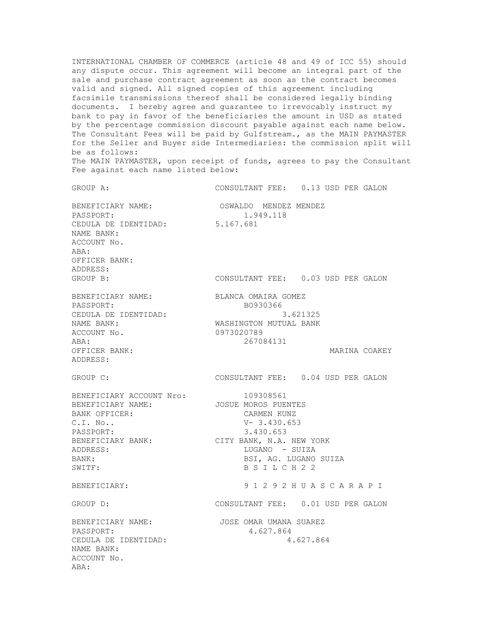INTERNATIONAL CHAMBER OF COMMERCE (article 48 and 49 of ICC 55) should any dispute occur. This agreement will become an integral part of the sale and purchase contract agreement as soon as the contract becomes valid and signed. All signed copies of this agreement including facsimile transmissions thereof shall be considered legally binding documents. I hereby agree and guarantee to irrevocably instruct my bank to pay in favor of the beneficiaries the amount in USD as stated by the percentage commission discount payable against each name below. The Consultant Fees will be paid by Gulfstream., as the MAIN PAYMASTER for the Seller and Buyer side Intermediaries: the commission split will be as follows: The MAIN PAYMASTER, upon receipt of funds, agrees to pay the Consultant Fee against each name listed below:

GROUP A: CONSULTANT FEE: 0.13 USD PER GALON BENEFICIARY NAME: OSWALDO MENDEZ MENDEZ<br>PASSPORT: 1.949.118 PASSPORT: 1.949.118 CEDULA DE IDENTIDAD: 5.167.681 NAME BANK: ACCOUNT No. ABA: OFFICER BANK: ADDRESS: GROUP B: CONSULTANT FEE: 0.03 USD PER GALON BENEFICIARY NAME: BLANCA OMAIRA GOMEZ<br>PASSPORT: BO930366 PASSPORT: BO930366 CEDULA DE IDENTIDAD: 3.621325 NAME BANK: WASHINGTON MUTUAL BANK ACCOUNT No. 0973020789 ABA: 267084131 OFFICER BANK: WARINA COAKEY ADDRESS: GROUP C: CONSULTANT FEE: 0.04 USD PER GALON BENEFICIARY ACCOUNT Nro: 109308561 BENEFICIARY NAME: JOSUE MOROS PUENTES BANK OFFICER: CARMEN KUNZ C.I. No.. V- 3.430.653 PASSPORT: 3.430.653 BENEFICIARY BANK: CITY BANK, N.A. NEW YORK ADDRESS: LUGANO - SUIZA BANK: BANK: BANK: BESI, AG. LUGANO SUIZA SWITF: B S I L C H 2 2 BENEFICIARY: 9 1 2 9 2 H U A S C A R A P I GROUP D: CONSULTANT FEE: 0.01 USD PER GALON BENEFICIARY NAME: JOSE OMAR UMANA SUAREZ PASSPORT: 4.627.864 CEDULA DE IDENTIDAD: 4.627.864 NAME BANK: ACCOUNT No. ABA: